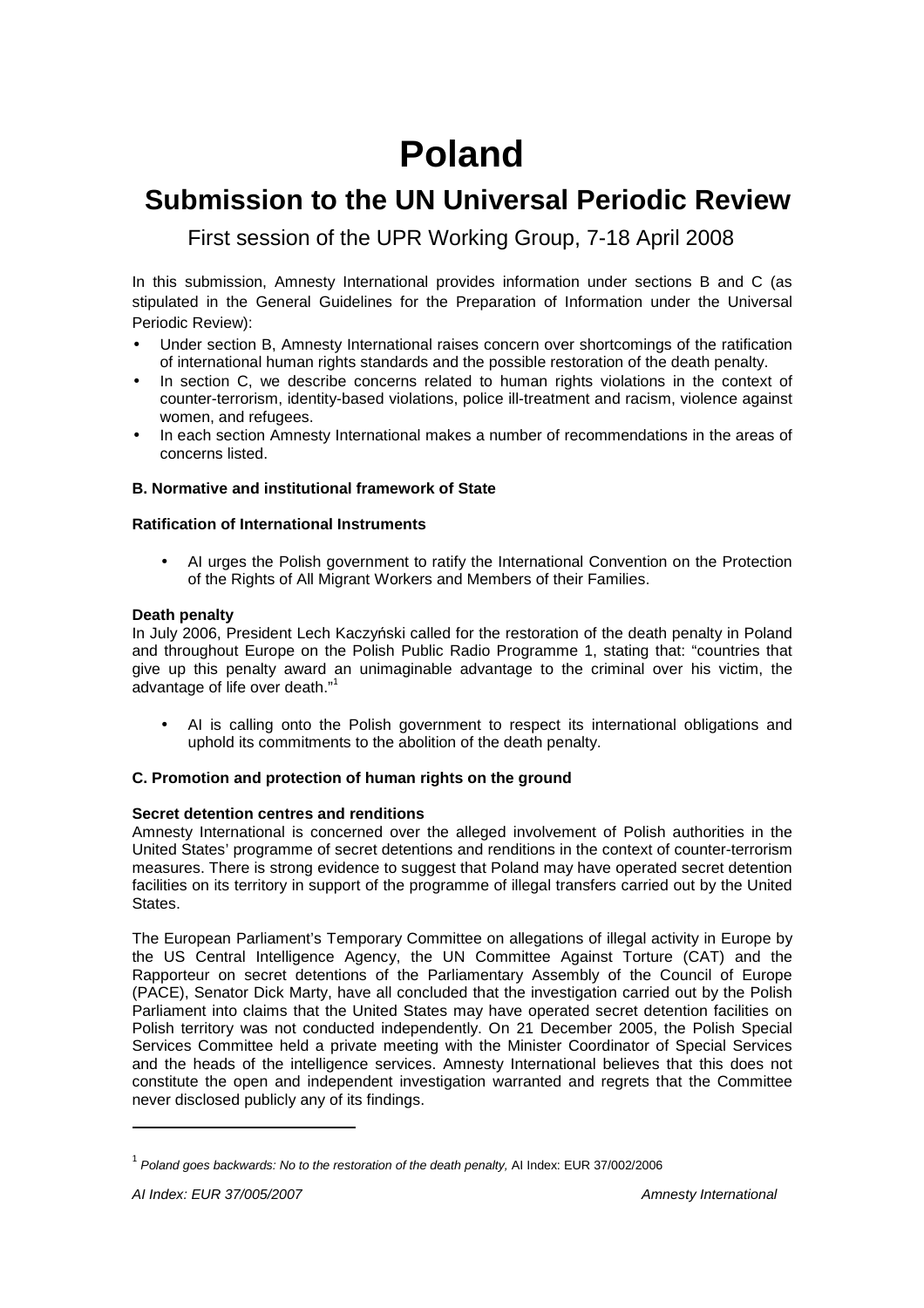# **Poland**

# **Submission to the UN Universal Periodic Review**

First session of the UPR Working Group, 7-18 April 2008

In this submission, Amnesty International provides information under sections B and C (as stipulated in the General Guidelines for the Preparation of Information under the Universal Periodic Review):

- Under section B, Amnesty International raises concern over shortcomings of the ratification of international human rights standards and the possible restoration of the death penalty.
- In section C, we describe concerns related to human rights violations in the context of counter-terrorism, identity-based violations, police ill-treatment and racism, violence against women, and refugees.
- In each section Amnesty International makes a number of recommendations in the areas of concerns listed.

# **B. Normative and institutional framework of State**

# **Ratification of International Instruments**

• AI urges the Polish government to ratify the International Convention on the Protection of the Rights of All Migrant Workers and Members of their Families.

# **Death penalty**

In July 2006, President Lech Kaczyński called for the restoration of the death penalty in Poland and throughout Europe on the Polish Public Radio Programme 1, stating that: "countries that give up this penalty award an unimaginable advantage to the criminal over his victim, the advantage of life over death."<sup>1</sup>

• AI is calling onto the Polish government to respect its international obligations and uphold its commitments to the abolition of the death penalty.

# **C. Promotion and protection of human rights on the ground**

#### **Secret detention centres and renditions**

Amnesty International is concerned over the alleged involvement of Polish authorities in the United States' programme of secret detentions and renditions in the context of counter-terrorism measures. There is strong evidence to suggest that Poland may have operated secret detention facilities on its territory in support of the programme of illegal transfers carried out by the United States.

The European Parliament's Temporary Committee on allegations of illegal activity in Europe by the US Central Intelligence Agency, the UN Committee Against Torture (CAT) and the Rapporteur on secret detentions of the Parliamentary Assembly of the Council of Europe (PACE), Senator Dick Marty, have all concluded that the investigation carried out by the Polish Parliament into claims that the United States may have operated secret detention facilities on Polish territory was not conducted independently. On 21 December 2005, the Polish Special Services Committee held a private meeting with the Minister Coordinator of Special Services and the heads of the intelligence services. Amnesty International believes that this does not constitute the open and independent investigation warranted and regrets that the Committee never disclosed publicly any of its findings.

l

 $^{1}$  Poland goes backwards: No to the restoration of the death penalty, AI Index: EUR 37/002/2006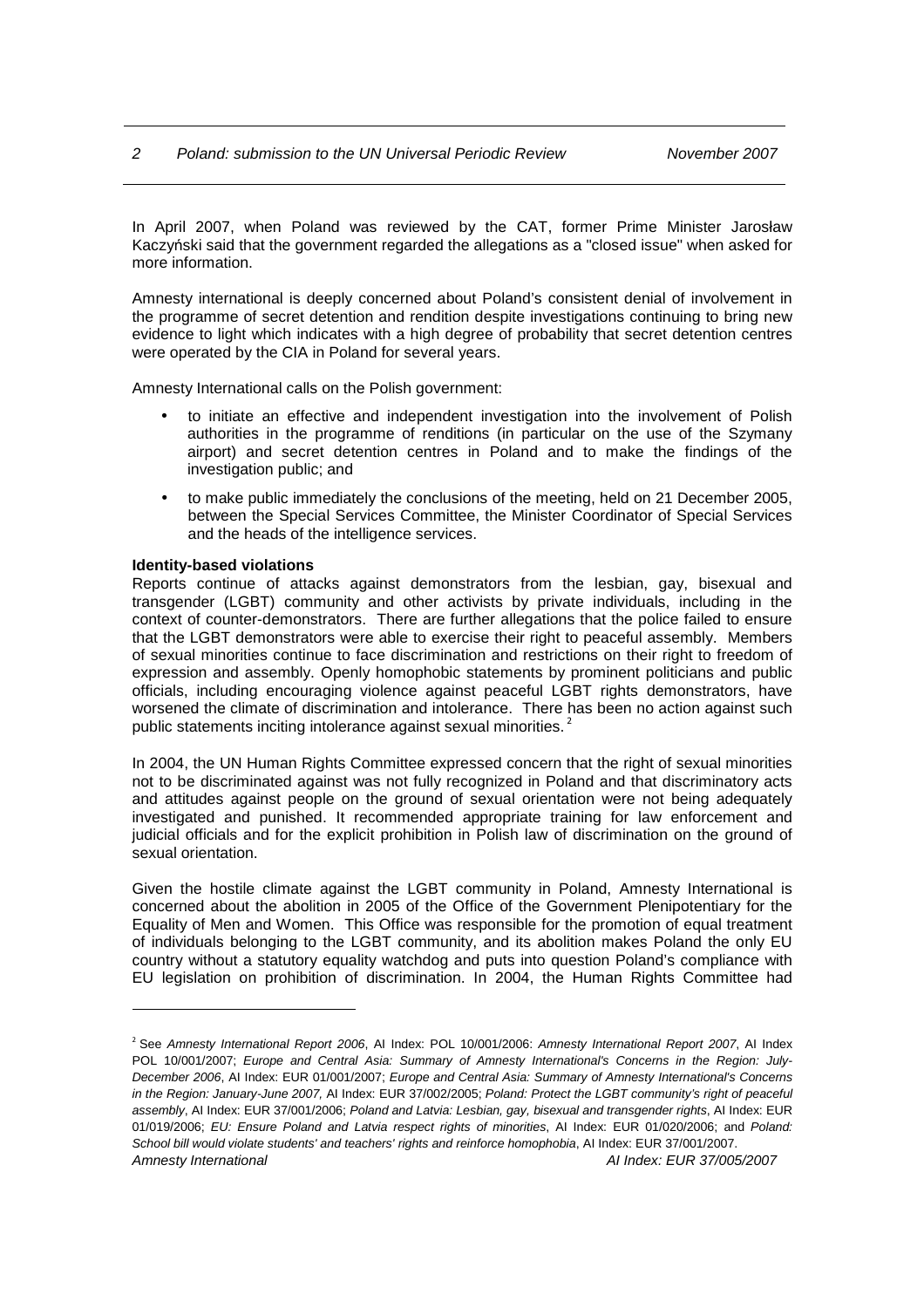In April 2007, when Poland was reviewed by the CAT, former Prime Minister Jarosław Kaczyński said that the government regarded the allegations as a "closed issue" when asked for more information.

Amnesty international is deeply concerned about Poland's consistent denial of involvement in the programme of secret detention and rendition despite investigations continuing to bring new evidence to light which indicates with a high degree of probability that secret detention centres were operated by the CIA in Poland for several years.

Amnesty International calls on the Polish government:

- to initiate an effective and independent investigation into the involvement of Polish authorities in the programme of renditions (in particular on the use of the Szymany airport) and secret detention centres in Poland and to make the findings of the investigation public; and
- to make public immediately the conclusions of the meeting, held on 21 December 2005, between the Special Services Committee, the Minister Coordinator of Special Services and the heads of the intelligence services.

#### **Identity-based violations**

 $\overline{a}$ 

Reports continue of attacks against demonstrators from the lesbian, gay, bisexual and transgender (LGBT) community and other activists by private individuals, including in the context of counter-demonstrators. There are further allegations that the police failed to ensure that the LGBT demonstrators were able to exercise their right to peaceful assembly. Members of sexual minorities continue to face discrimination and restrictions on their right to freedom of expression and assembly. Openly homophobic statements by prominent politicians and public officials, including encouraging violence against peaceful LGBT rights demonstrators, have worsened the climate of discrimination and intolerance. There has been no action against such public statements inciting intolerance against sexual minorities.<sup>2</sup>

In 2004, the UN Human Rights Committee expressed concern that the right of sexual minorities not to be discriminated against was not fully recognized in Poland and that discriminatory acts and attitudes against people on the ground of sexual orientation were not being adequately investigated and punished. It recommended appropriate training for law enforcement and judicial officials and for the explicit prohibition in Polish law of discrimination on the ground of sexual orientation.

Given the hostile climate against the LGBT community in Poland, Amnesty International is concerned about the abolition in 2005 of the Office of the Government Plenipotentiary for the Equality of Men and Women. This Office was responsible for the promotion of equal treatment of individuals belonging to the LGBT community, and its abolition makes Poland the only EU country without a statutory equality watchdog and puts into question Poland's compliance with EU legislation on prohibition of discrimination. In 2004, the Human Rights Committee had

Amnesty International AI Index: EUR 37/005/2007 <sup>2</sup> See Amnesty International Report 2006, AI Index: POL 10/001/2006: Amnesty International Report 2007, AI Index POL 10/001/2007; Europe and Central Asia: Summary of Amnesty International's Concerns in the Region: July-December 2006, AI Index: EUR 01/001/2007; Europe and Central Asia: Summary of Amnesty International's Concerns in the Region: January-June 2007, AI Index: EUR 37/002/2005; Poland: Protect the LGBT community's right of peaceful assembly, AI Index: EUR 37/001/2006; Poland and Latvia: Lesbian, gay, bisexual and transgender rights, AI Index: EUR 01/019/2006; EU: Ensure Poland and Latvia respect rights of minorities, AI Index: EUR 01/020/2006; and Poland: School bill would violate students' and teachers' rights and reinforce homophobia, AI Index: EUR 37/001/2007.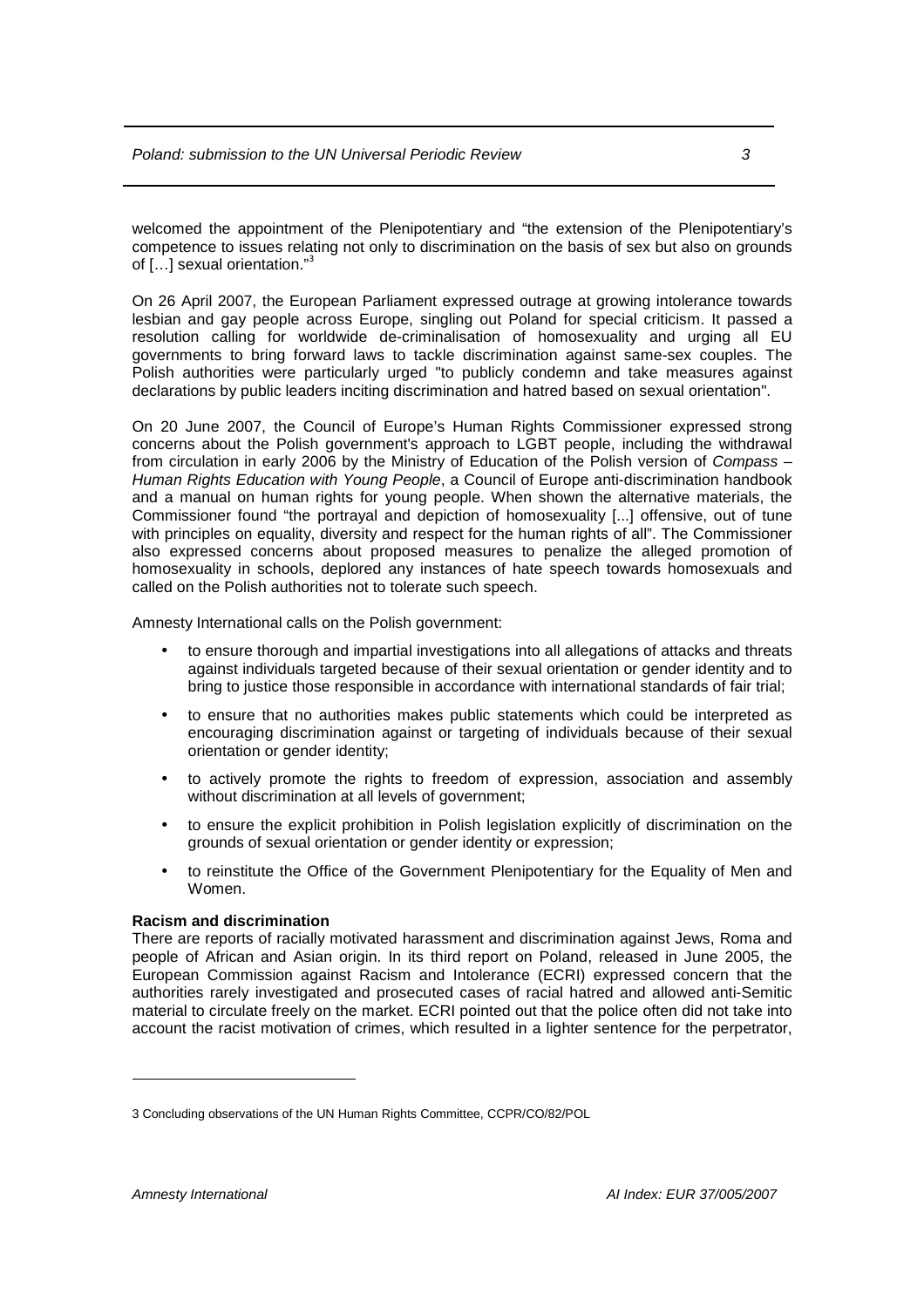welcomed the appointment of the Plenipotentiary and "the extension of the Plenipotentiary's competence to issues relating not only to discrimination on the basis of sex but also on grounds of [...] sexual orientation."<sup>3</sup>

On 26 April 2007, the European Parliament expressed outrage at growing intolerance towards lesbian and gay people across Europe, singling out Poland for special criticism. It passed a resolution calling for worldwide de-criminalisation of homosexuality and urging all EU governments to bring forward laws to tackle discrimination against same-sex couples. The Polish authorities were particularly urged "to publicly condemn and take measures against declarations by public leaders inciting discrimination and hatred based on sexual orientation".

On 20 June 2007, the Council of Europe's Human Rights Commissioner expressed strong concerns about the Polish government's approach to LGBT people, including the withdrawal from circulation in early 2006 by the Ministry of Education of the Polish version of Compass – Human Rights Education with Young People, a Council of Europe anti-discrimination handbook and a manual on human rights for young people. When shown the alternative materials, the Commissioner found "the portrayal and depiction of homosexuality [...] offensive, out of tune with principles on equality, diversity and respect for the human rights of all". The Commissioner also expressed concerns about proposed measures to penalize the alleged promotion of homosexuality in schools, deplored any instances of hate speech towards homosexuals and called on the Polish authorities not to tolerate such speech.

Amnesty International calls on the Polish government:

- to ensure thorough and impartial investigations into all allegations of attacks and threats against individuals targeted because of their sexual orientation or gender identity and to bring to justice those responsible in accordance with international standards of fair trial;
- to ensure that no authorities makes public statements which could be interpreted as encouraging discrimination against or targeting of individuals because of their sexual orientation or gender identity;
- to actively promote the rights to freedom of expression, association and assembly without discrimination at all levels of government;
- to ensure the explicit prohibition in Polish legislation explicitly of discrimination on the grounds of sexual orientation or gender identity or expression;
- to reinstitute the Office of the Government Plenipotentiary for the Equality of Men and Women.

#### **Racism and discrimination**

There are reports of racially motivated harassment and discrimination against Jews, Roma and people of African and Asian origin. In its third report on Poland, released in June 2005, the European Commission against Racism and Intolerance (ECRI) expressed concern that the authorities rarely investigated and prosecuted cases of racial hatred and allowed anti-Semitic material to circulate freely on the market. ECRI pointed out that the police often did not take into account the racist motivation of crimes, which resulted in a lighter sentence for the perpetrator,

l

<sup>3</sup> Concluding observations of the UN Human Rights Committee, CCPR/CO/82/POL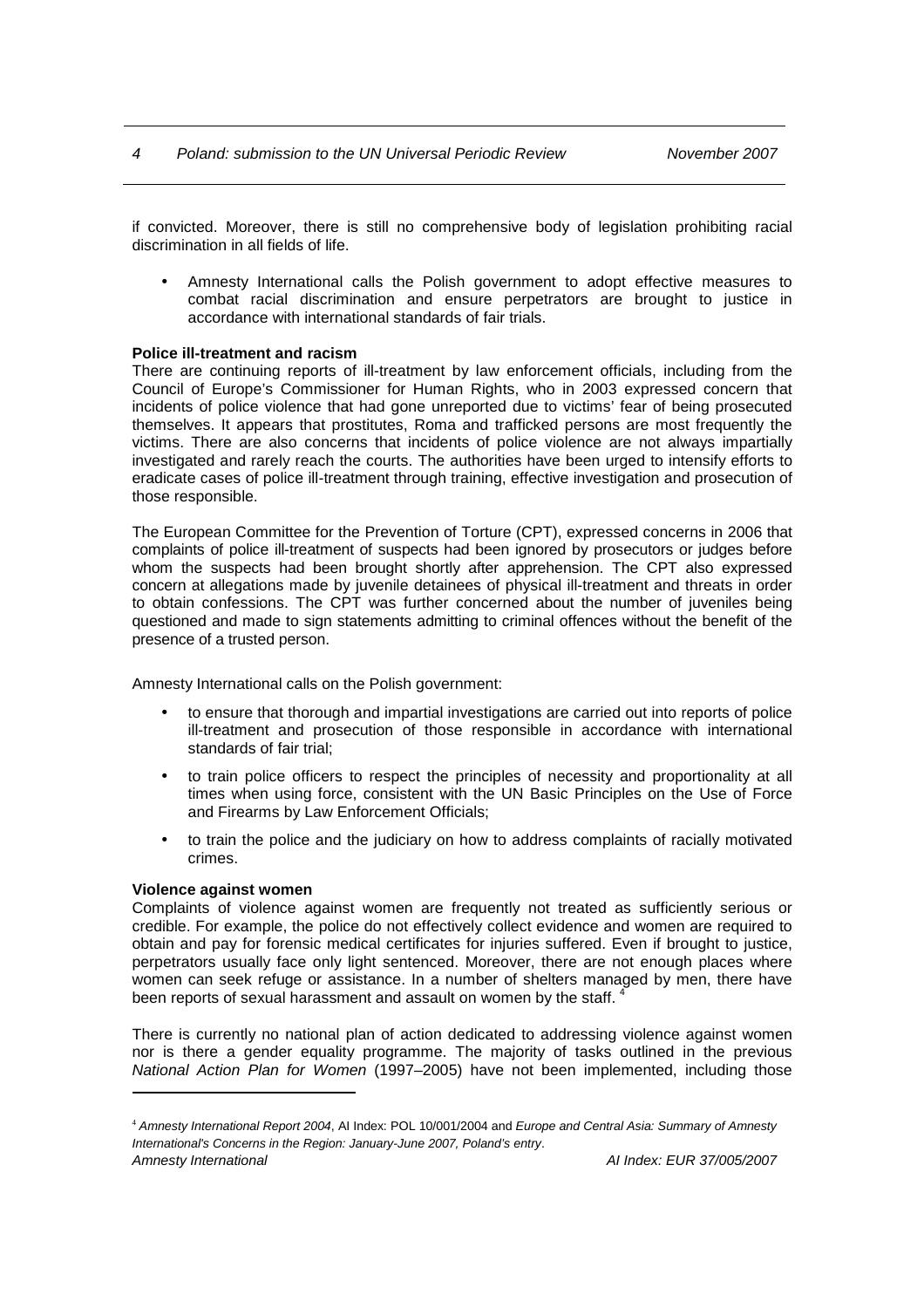if convicted. Moreover, there is still no comprehensive body of legislation prohibiting racial discrimination in all fields of life.

• Amnesty International calls the Polish government to adopt effective measures to combat racial discrimination and ensure perpetrators are brought to justice in accordance with international standards of fair trials.

#### **Police ill-treatment and racism**

There are continuing reports of ill-treatment by law enforcement officials, including from the Council of Europe's Commissioner for Human Rights, who in 2003 expressed concern that incidents of police violence that had gone unreported due to victims' fear of being prosecuted themselves. It appears that prostitutes, Roma and trafficked persons are most frequently the victims. There are also concerns that incidents of police violence are not always impartially investigated and rarely reach the courts. The authorities have been urged to intensify efforts to eradicate cases of police ill-treatment through training, effective investigation and prosecution of those responsible.

The European Committee for the Prevention of Torture (CPT), expressed concerns in 2006 that complaints of police ill-treatment of suspects had been ignored by prosecutors or judges before whom the suspects had been brought shortly after apprehension. The CPT also expressed concern at allegations made by juvenile detainees of physical ill-treatment and threats in order to obtain confessions. The CPT was further concerned about the number of juveniles being questioned and made to sign statements admitting to criminal offences without the benefit of the presence of a trusted person.

Amnesty International calls on the Polish government:

- to ensure that thorough and impartial investigations are carried out into reports of police ill-treatment and prosecution of those responsible in accordance with international standards of fair trial;
- to train police officers to respect the principles of necessity and proportionality at all times when using force, consistent with the UN Basic Principles on the Use of Force and Firearms by Law Enforcement Officials;
- to train the police and the judiciary on how to address complaints of racially motivated crimes.

#### **Violence against women**

 $\overline{a}$ 

Complaints of violence against women are frequently not treated as sufficiently serious or credible. For example, the police do not effectively collect evidence and women are required to obtain and pay for forensic medical certificates for injuries suffered. Even if brought to justice, perpetrators usually face only light sentenced. Moreover, there are not enough places where women can seek refuge or assistance. In a number of shelters managed by men, there have been reports of sexual harassment and assault on women by the staff.

There is currently no national plan of action dedicated to addressing violence against women nor is there a gender equality programme. The majority of tasks outlined in the previous National Action Plan for Women (1997–2005) have not been implemented, including those

Amnesty International AI Index: EUR 37/005/2007 <sup>4</sup> Amnesty International Report 2004, AI Index: POL 10/001/2004 and Europe and Central Asia: Summary of Amnesty International's Concerns in the Region: January-June 2007, Poland's entry.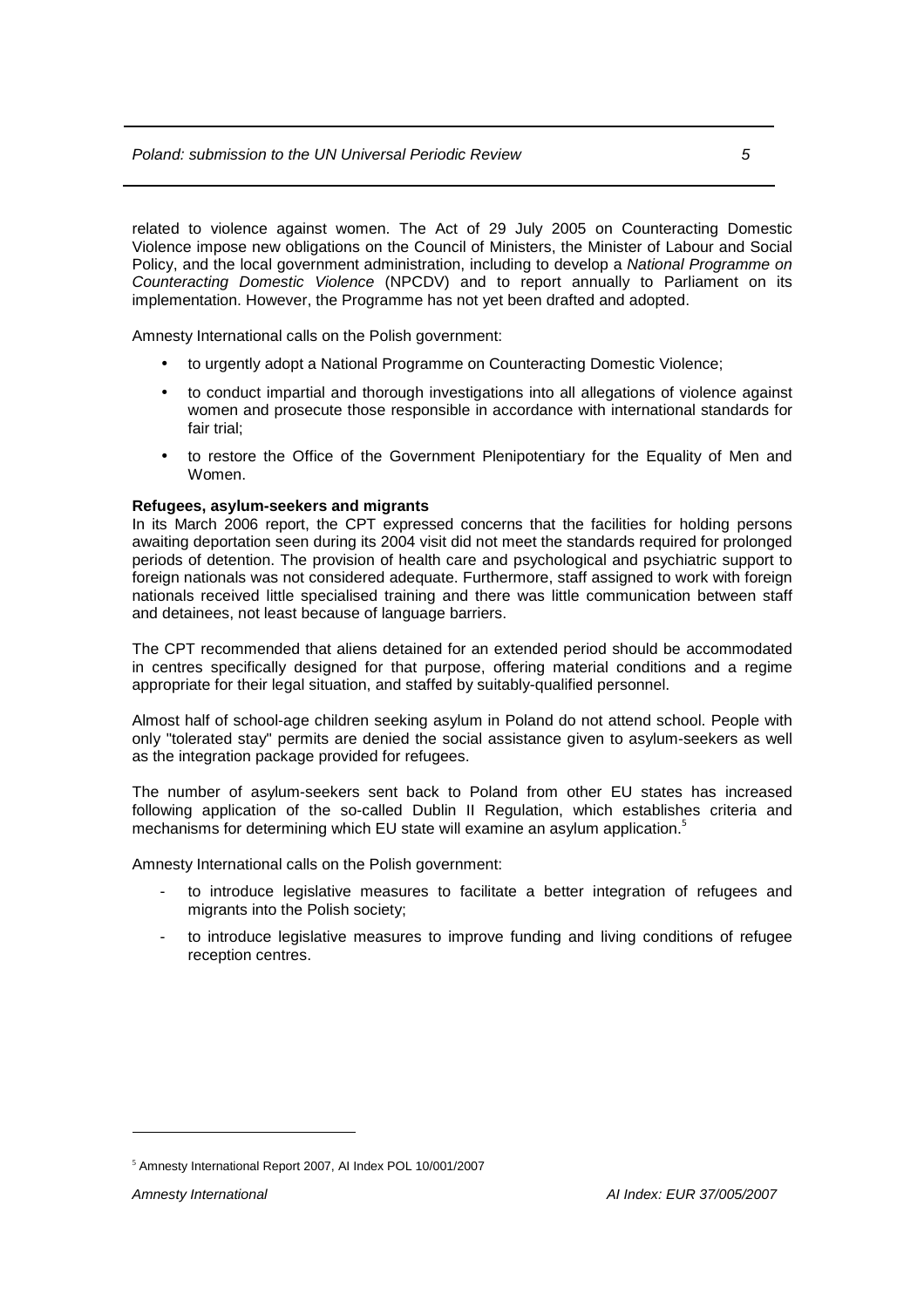#### Poland: submission to the UN Universal Periodic Review 5

related to violence against women. The Act of 29 July 2005 on Counteracting Domestic Violence impose new obligations on the Council of Ministers, the Minister of Labour and Social Policy, and the local government administration, including to develop a National Programme on Counteracting Domestic Violence (NPCDV) and to report annually to Parliament on its implementation. However, the Programme has not yet been drafted and adopted.

Amnesty International calls on the Polish government:

- to urgently adopt a National Programme on Counteracting Domestic Violence;
- to conduct impartial and thorough investigations into all allegations of violence against women and prosecute those responsible in accordance with international standards for fair trial;
- to restore the Office of the Government Plenipotentiary for the Equality of Men and Women.

# **Refugees, asylum-seekers and migrants**

In its March 2006 report, the CPT expressed concerns that the facilities for holding persons awaiting deportation seen during its 2004 visit did not meet the standards required for prolonged periods of detention. The provision of health care and psychological and psychiatric support to foreign nationals was not considered adequate. Furthermore, staff assigned to work with foreign nationals received little specialised training and there was little communication between staff and detainees, not least because of language barriers.

The CPT recommended that aliens detained for an extended period should be accommodated in centres specifically designed for that purpose, offering material conditions and a regime appropriate for their legal situation, and staffed by suitably-qualified personnel.

Almost half of school-age children seeking asylum in Poland do not attend school. People with only "tolerated stay" permits are denied the social assistance given to asylum-seekers as well as the integration package provided for refugees.

The number of asylum-seekers sent back to Poland from other EU states has increased following application of the so-called Dublin II Regulation, which establishes criteria and mechanisms for determining which EU state will examine an asylum application.<sup>5</sup>

Amnesty International calls on the Polish government:

- to introduce legislative measures to facilitate a better integration of refugees and migrants into the Polish society;
- to introduce legislative measures to improve funding and living conditions of refugee reception centres.

l

<sup>5</sup> Amnesty International Report 2007, AI Index POL 10/001/2007